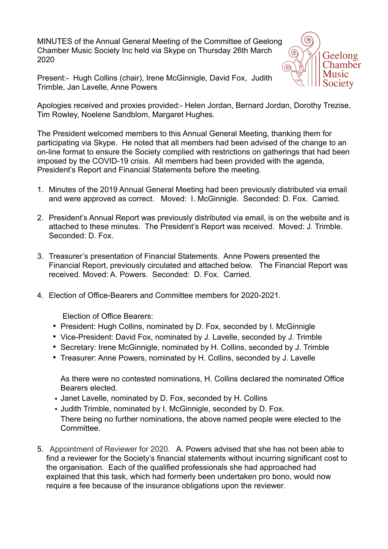MINUTES of the Annual General Meeting of the Committee of Geelong Chamber Music Society Inc held via Skype on Thursday 26th March 2020

Present:- Hugh Collins (chair), Irene McGinnigle, David Fox, Judith Trimble, Jan Lavelle, Anne Powers



Apologies received and proxies provided:- Helen Jordan, Bernard Jordan, Dorothy Trezise, Tim Rowley, Noelene Sandblom, Margaret Hughes.

The President welcomed members to this Annual General Meeting, thanking them for participating via Skype. He noted that all members had been advised of the change to an on-line format to ensure the Society complied with restrictions on gatherings that had been imposed by the COVID-19 crisis. All members had been provided with the agenda, President's Report and Financial Statements before the meeting.

- 1. Minutes of the 2019 Annual General Meeting had been previously distributed via email and were approved as correct. Moved: I. McGinnigle. Seconded: D. Fox. Carried.
- 2. President's Annual Report was previously distributed via email, is on the website and is attached to these minutes. The President's Report was received. Moved: J. Trimble. Seconded: D. Fox.
- 3. Treasurer's presentation of Financial Statements. Anne Powers presented the Financial Report, previously circulated and attached below. The Financial Report was received. Moved: A. Powers. Seconded: D. Fox. Carried.
- 4. Election of Office-Bearers and Committee members for 2020-2021.

Election of Office Bearers:

- President: Hugh Collins, nominated by D. Fox, seconded by I. McGinnigle
- Vice-President: David Fox, nominated by J. Lavelle, seconded by J. Trimble
- Secretary: Irene McGinnigle, nominated by H. Collins, seconded by J. Trimble
- Treasurer: Anne Powers, nominated by H. Collins, seconded by J. Lavelle

As there were no contested nominations, H. Collins declared the nominated Office Bearers elected.

- Janet Lavelle, nominated by D. Fox, seconded by H. Collins
- Judith Trimble, nominated by I. McGinnigle, seconded by D. Fox. There being no further nominations, the above named people were elected to the Committee.
- 5. Appointment of Reviewer for 2020. A. Powers advised that she has not been able to find a reviewer for the Society's financial statements without incurring significant cost to the organisation. Each of the qualified professionals she had approached had explained that this task, which had formerly been undertaken pro bono, would now require a fee because of the insurance obligations upon the reviewer.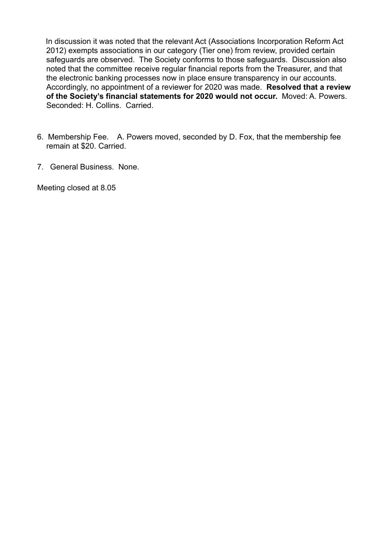In discussion it was noted that the relevant Act (Associations Incorporation Reform Act 2012) exempts associations in our category (Tier one) from review, provided certain safeguards are observed. The Society conforms to those safeguards. Discussion also noted that the committee receive regular financial reports from the Treasurer, and that the electronic banking processes now in place ensure transparency in our accounts. Accordingly, no appointment of a reviewer for 2020 was made. **Resolved that a review of the Society's financial statements for 2020 would not occur.** Moved: A. Powers. Seconded: H. Collins. Carried.

- 6. Membership Fee. A. Powers moved, seconded by D. Fox, that the membership fee remain at \$20. Carried.
- 7. General Business. None.

Meeting closed at 8.05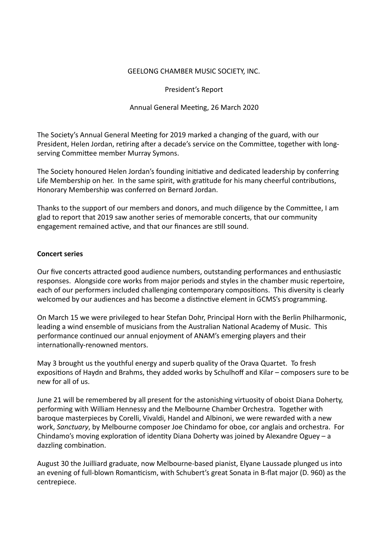#### GEELONG CHAMBER MUSIC SOCIETY, INC.

President's Report

### Annual General Meeting, 26 March 2020

The Society's Annual General Meeting for 2019 marked a changing of the guard, with our President, Helen Jordan, retiring after a decade's service on the Committee, together with longserving Committee member Murray Symons.

The Society honoured Helen Jordan's founding initiative and dedicated leadership by conferring Life Membership on her. In the same spirit, with gratitude for his many cheerful contributions, Honorary Membership was conferred on Bernard Jordan.

Thanks to the support of our members and donors, and much diligence by the Committee, I am glad to report that 2019 saw another series of memorable concerts, that our community engagement remained active, and that our finances are still sound.

#### **Concert series**

Our five concerts attracted good audience numbers, outstanding performances and enthusiastic responses. Alongside core works from major periods and styles in the chamber music repertoire, each of our performers included challenging contemporary compositions. This diversity is clearly welcomed by our audiences and has become a distinctive element in GCMS's programming.

On March 15 we were privileged to hear Stefan Dohr, Principal Horn with the Berlin Philharmonic, leading a wind ensemble of musicians from the Australian National Academy of Music. This performance continued our annual enjoyment of ANAM's emerging players and their internationally-renowned mentors.

May 3 brought us the youthful energy and superb quality of the Orava Quartet. To fresh expositions of Haydn and Brahms, they added works by Schulhoff and Kilar – composers sure to be new for all of us.

June 21 will be remembered by all present for the astonishing virtuosity of oboist Diana Doherty, performing with William Hennessy and the Melbourne Chamber Orchestra. Together with baroque masterpieces by Corelli, Vivaldi, Handel and Albinoni, we were rewarded with a new work, Sanctuary, by Melbourne composer Joe Chindamo for oboe, cor anglais and orchestra. For Chindamo's moving exploration of identity Diana Doherty was joined by Alexandre Oguey  $-$  a dazzling combination.

August 30 the Juilliard graduate, now Melbourne-based pianist, Elyane Laussade plunged us into an evening of full-blown Romanticism, with Schubert's great Sonata in B-flat major (D. 960) as the centrepiece.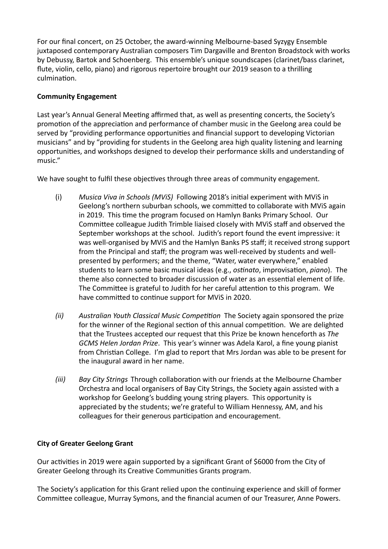For our final concert, on 25 October, the award-winning Melbourne-based Syzygy Ensemble juxtaposed contemporary Australian composers Tim Dargaville and Brenton Broadstock with works by Debussy, Bartok and Schoenberg. This ensemble's unique soundscapes (clarinet/bass clarinet, flute, violin, cello, piano) and rigorous repertoire brought our 2019 season to a thrilling culmination.

# **Community Engagement**

Last year's Annual General Meeting affirmed that, as well as presenting concerts, the Society's promotion of the appreciation and performance of chamber music in the Geelong area could be served by "providing performance opportunities and financial support to developing Victorian musicians" and by "providing for students in the Geelong area high quality listening and learning opportunities, and workshops designed to develop their performance skills and understanding of music." 

We have sought to fulfil these objectives through three areas of community engagement.

- (i) Musica Viva in Schools (MViS) Following 2018's initial experiment with MViS in Geelong's northern suburban schools, we committed to collaborate with MViS again in 2019. This time the program focused on Hamlyn Banks Primary School. Our Committee colleague Judith Trimble liaised closely with MViS staff and observed the September workshops at the school. Judith's report found the event impressive: it was well-organised by MViS and the Hamlyn Banks PS staff; it received strong support from the Principal and staff; the program was well-received by students and wellpresented by performers; and the theme, "Water, water everywhere," enabled students to learn some basic musical ideas (e.g., *ostinato*, improvisation, *piano*). The theme also connected to broader discussion of water as an essential element of life. The Committee is grateful to Judith for her careful attention to this program. We have committed to continue support for MVIS in 2020.
- *(ii)* Australian Youth Classical Music Competition The Society again sponsored the prize for the winner of the Regional section of this annual competition. We are delighted that the Trustees accepted our request that this Prize be known henceforth as *The* GCMS Helen Jordan Prize. This year's winner was Adela Karol, a fine young pianist from Christian College. I'm glad to report that Mrs Jordan was able to be present for the inaugural award in her name.
- *(iii)* Bay City Strings Through collaboration with our friends at the Melbourne Chamber Orchestra and local organisers of Bay City Strings, the Society again assisted with a workshop for Geelong's budding young string players. This opportunity is appreciated by the students; we're grateful to William Hennessy, AM, and his colleagues for their generous participation and encouragement.

# **City of Greater Geelong Grant**

Our activities in 2019 were again supported by a significant Grant of \$6000 from the City of Greater Geelong through its Creative Communities Grants program.

The Society's application for this Grant relied upon the continuing experience and skill of former Committee colleague, Murray Symons, and the financial acumen of our Treasurer, Anne Powers.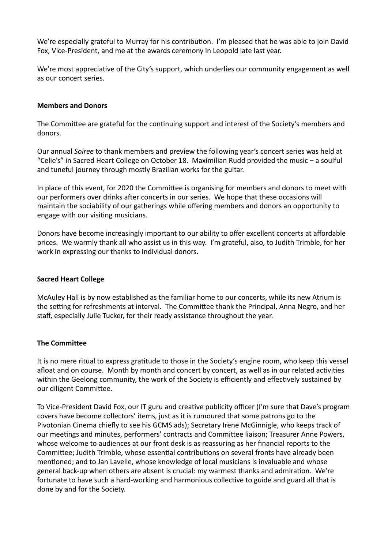We're especially grateful to Murray for his contribution. I'm pleased that he was able to join David Fox, Vice-President, and me at the awards ceremony in Leopold late last year.

We're most appreciative of the City's support, which underlies our community engagement as well as our concert series.

### **Members and Donors**

The Committee are grateful for the continuing support and interest of the Society's members and donors. 

Our annual *Soiree* to thank members and preview the following year's concert series was held at "Celie's" in Sacred Heart College on October 18. Maximilian Rudd provided the music - a soulful and tuneful journey through mostly Brazilian works for the guitar.

In place of this event, for 2020 the Committee is organising for members and donors to meet with our performers over drinks after concerts in our series. We hope that these occasions will maintain the sociability of our gatherings while offering members and donors an opportunity to engage with our visiting musicians.

Donors have become increasingly important to our ability to offer excellent concerts at affordable prices. We warmly thank all who assist us in this way. I'm grateful, also, to Judith Trimble, for her work in expressing our thanks to individual donors.

### **Sacred Heart College**

McAuley Hall is by now established as the familiar home to our concerts, while its new Atrium is the setting for refreshments at interval. The Committee thank the Principal, Anna Negro, and her staff, especially Julie Tucker, for their ready assistance throughout the year.

### **The Committee**

It is no mere ritual to express gratitude to those in the Society's engine room, who keep this vessel afloat and on course. Month by month and concert by concert, as well as in our related activities within the Geelong community, the work of the Society is efficiently and effectively sustained by our diligent Committee.

To Vice-President David Fox, our IT guru and creative publicity officer (I'm sure that Dave's program covers have become collectors' items, just as it is rumoured that some patrons go to the Pivotonian Cinema chiefly to see his GCMS ads); Secretary Irene McGinnigle, who keeps track of our meetings and minutes, performers' contracts and Committee liaison; Treasurer Anne Powers, whose welcome to audiences at our front desk is as reassuring as her financial reports to the Committee; Judith Trimble, whose essential contributions on several fronts have already been mentioned; and to Jan Lavelle, whose knowledge of local musicians is invaluable and whose general back-up when others are absent is crucial: my warmest thanks and admiration. We're fortunate to have such a hard-working and harmonious collective to guide and guard all that is done by and for the Society.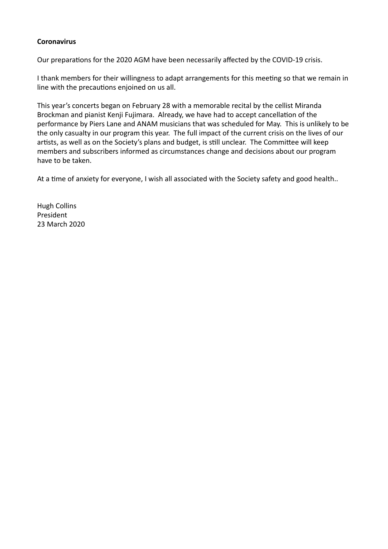## **Coronavirus**

Our preparations for the 2020 AGM have been necessarily affected by the COVID-19 crisis.

I thank members for their willingness to adapt arrangements for this meeting so that we remain in line with the precautions enjoined on us all.

This year's concerts began on February 28 with a memorable recital by the cellist Miranda Brockman and pianist Kenji Fujimara. Already, we have had to accept cancellation of the performance by Piers Lane and ANAM musicians that was scheduled for May. This is unlikely to be the only casualty in our program this year. The full impact of the current crisis on the lives of our artists, as well as on the Society's plans and budget, is still unclear. The Committee will keep members and subscribers informed as circumstances change and decisions about our program have to be taken.

At a time of anxiety for everyone, I wish all associated with the Society safety and good health..

Hugh Collins President 23 March 2020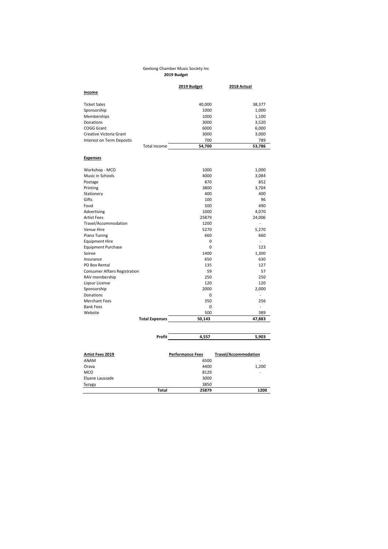#### Geelong Chamber Music Society Inc **2019 Budget**

|                                      | 2019 Budget             | 2018 Actual                 |
|--------------------------------------|-------------------------|-----------------------------|
| Income                               |                         |                             |
|                                      |                         |                             |
| <b>Ticket Sales</b>                  | 40,000                  | 38,377                      |
| Sponsorship                          | 1000                    | 1,000                       |
| Memberships                          | 1000                    | 1,100                       |
| Donations                            | 3000                    | 3,520                       |
| COGG Grant                           | 6000                    | 6,000                       |
| Creative Victoria Grant              | 3000                    | 3,000                       |
| Interest on Term Depostis            | 700                     | 789                         |
| <b>Total Income</b>                  | 54,700                  | 53,786                      |
|                                      |                         |                             |
| <b>Expenses</b>                      |                         |                             |
| Workshop - MCO                       | 1000                    | 1,000                       |
| Music in Schools                     | 4000                    | 3,084                       |
| Postage                              | 870                     | 852                         |
| Printing                             | 3800                    | 3,704                       |
| Stationery                           | 400                     | 400                         |
| Gifts                                | 100                     | 96                          |
| Food                                 | 500                     | 490                         |
| Advertising                          | 1000                    | 4,070                       |
| <b>Artist Fees</b>                   | 25879                   | 24,006                      |
|                                      | 1200                    | $\overline{a}$              |
| Travel/Accommodation                 | 5270                    |                             |
| Venue Hire                           |                         | 5,270                       |
| Piano Tuning                         | 660                     | 660                         |
| <b>Equipment Hire</b>                | 0                       | $\overline{a}$              |
| <b>Equipment Purchase</b>            | 0                       | 123                         |
| Soiree                               | 1400                    | 1,300                       |
| Insurance                            | 650                     | 630                         |
| PO Box Rental                        | 135                     | 127                         |
| <b>Consumer Affairs Registration</b> | 59                      | 57                          |
| RAV membership                       | 250                     | 250                         |
| Ligour License                       | 120                     | 120                         |
| Sponsorship                          | 2000                    | 2,000                       |
| Donations                            | 0                       | ٠                           |
| <b>Merchant Fees</b>                 | 350                     | 256                         |
| <b>Bank Fees</b>                     | 0                       | L,                          |
| Website                              | 500                     | 389                         |
| <b>Total Expenses</b>                | 50,143                  | 47,883                      |
|                                      |                         |                             |
| Profit                               | 4,557                   | 5,903                       |
|                                      |                         |                             |
|                                      |                         |                             |
| <b>Artist Fees 2019</b>              | <b>Performance Fees</b> | <b>Travel/Accommodation</b> |
| ANAM                                 | 6500                    |                             |
| Orava                                | 4400                    | 1,200                       |
| MCO                                  | 8129                    |                             |
| Elyane Laussade                      | 3000                    |                             |
| Syzygy                               | 3850                    |                             |
| Total                                | 25879                   | 1200                        |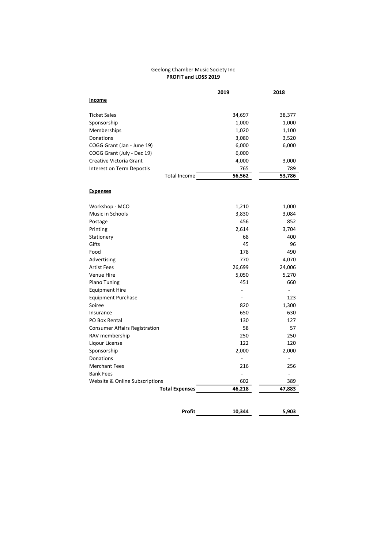#### Geelong Chamber Music Society Inc **PROFIT and LOSS 2019**

|                                      | 2019         | 2018           |
|--------------------------------------|--------------|----------------|
| <u>Income</u>                        |              |                |
| <b>Ticket Sales</b>                  | 34,697       | 38,377         |
| Sponsorship                          | 1,000        | 1,000          |
| Memberships                          | 1,020        | 1,100          |
| Donations                            | 3,080        | 3,520          |
| COGG Grant (Jan - June 19)           | 6,000        | 6,000          |
| COGG Grant (July - Dec 19)           | 6,000        |                |
| Creative Victoria Grant              | 4,000        | 3,000          |
| Interest on Term Depostis            | 765          | 789            |
| <b>Total Income</b>                  | 56,562       | 53,786         |
| <b>Expenses</b>                      |              |                |
|                                      |              |                |
| Workshop - MCO<br>Music in Schools   | 1,210        | 1,000<br>3,084 |
|                                      | 3,830<br>456 | 852            |
| Postage<br>Printing                  | 2,614        | 3,704          |
| Stationery                           | 68           | 400            |
| Gifts                                | 45           | 96             |
| Food                                 | 178          | 490            |
| Advertising                          | 770          | 4,070          |
| <b>Artist Fees</b>                   | 26,699       | 24,006         |
| <b>Venue Hire</b>                    | 5,050        | 5,270          |
| Piano Tuning                         | 451          | 660            |
| <b>Equipment Hire</b>                | L,           |                |
| <b>Equipment Purchase</b>            |              | 123            |
| Soiree                               | 820          | 1,300          |
| Insurance                            | 650          | 630            |
| PO Box Rental                        | 130          | 127            |
| <b>Consumer Affairs Registration</b> | 58           | 57             |
| RAV membership                       | 250          | 250            |
| Ligour License                       | 122          | 120            |
| Sponsorship                          | 2,000        | 2,000          |
| Donations                            |              |                |
| <b>Merchant Fees</b>                 | 216          | 256            |
| <b>Bank Fees</b>                     | ä,           |                |
| Website & Online Subscriptions       | 602          | 389            |
| <b>Total Expenses</b>                | 46,218       | 47,883         |
|                                      |              |                |
| Profit                               | 10,344       | 5,903          |